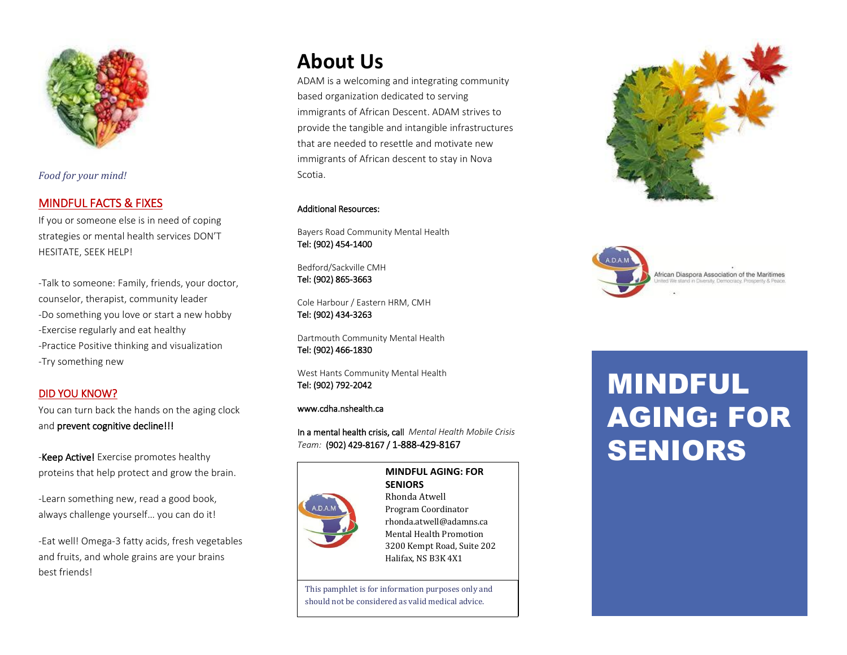

*Food for your mind!*

## MINDFUL FACTS & FIXES

If you or someone else is in need of coping strategies or mental health services DON'T HESITATE, SEEK HELP!

-Talk to someone: Family, friends, your doctor, counselor, therapist, community leader -Do something you love or start a new hobby -Exercise regularly and eat healthy -Practice Positive thinking and visualization -Try something new

#### DID YOU KNOW?

You can turn back the hands on the aging clock and prevent cognitive decline!!!

-Keep Active! Exercise promotes healthy proteins that help protect and grow the brain.

-Learn something new, read a good book, always challenge yourself… you can do it!

-Eat well! Omega-3 fatty acids, fresh vegetables and fruits, and whole grains are your brains best friends!

# **About Us**

ADAM is a welcoming and integrating community based organization dedicated to serving immigrants of African Descent. ADAM strives to provide the tangible and intangible infrastructures that are needed to resettle and motivate new immigrants of African descent to stay in Nova Scotia.

#### Additional Resources:

Bayers Road Community Mental Health Tel: (902) 454-1400

Bedford/Sackville CMH Tel: (902) 865-3663

Cole Harbour / Eastern HRM, CMH Tel: (902) 434-3263

Dartmouth Community Mental Health Tel: (902) 466-1830

West Hants Community Mental Health Tel: (902) 792-2042

#### www.cdha.nshealth.ca

In a mental health crisis, call *Mental Health Mobile Crisis Team:* (902) 429-8167 / 1-888-429-8167



 $\overline{\phantom{a}}$ 

**MINDFUL AGING: FOR SENIORS** Rhonda Atwell Program Coordinator rhonda.atwell@adamns.ca Mental Health Promotion 3200 Kempt Road, Suite 202 Halifax, NS B3K 4X1

This pamphlet is for information purposes only and should not be considered as valid medical advice.





# MINDFUL AGING: FOR SENIORS